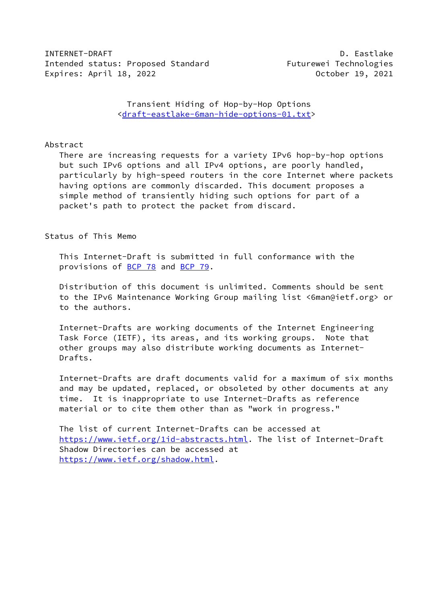INTERNET-DRAFT AND DESCRIPTION OF THE SECOND ASSESSMENT AND DEVICE A SECOND DESCRIPTION OF THE SECOND DESCRIPTION OF THE SECOND DESCRIPTION OF THE SECOND DESCRIPTION OF THE SECOND DESCRIPTION OF THE SECOND DESCRIPTION OF T Intended status: Proposed Standard Futurewei Technologies Expires: April 18, 2022 October 19, 2021

 Transient Hiding of Hop-by-Hop Options [<draft-eastlake-6man-hide-options-01.txt](https://datatracker.ietf.org/doc/pdf/draft-eastlake-6man-hide-options-01.txt)>

## Abstract

 There are increasing requests for a variety IPv6 hop-by-hop options but such IPv6 options and all IPv4 options, are poorly handled, particularly by high-speed routers in the core Internet where packets having options are commonly discarded. This document proposes a simple method of transiently hiding such options for part of a packet's path to protect the packet from discard.

Status of This Memo

 This Internet-Draft is submitted in full conformance with the provisions of [BCP 78](https://datatracker.ietf.org/doc/pdf/bcp78) and [BCP 79](https://datatracker.ietf.org/doc/pdf/bcp79).

 Distribution of this document is unlimited. Comments should be sent to the IPv6 Maintenance Working Group mailing list <6man@ietf.org> or to the authors.

 Internet-Drafts are working documents of the Internet Engineering Task Force (IETF), its areas, and its working groups. Note that other groups may also distribute working documents as Internet- Drafts.

 Internet-Drafts are draft documents valid for a maximum of six months and may be updated, replaced, or obsoleted by other documents at any time. It is inappropriate to use Internet-Drafts as reference material or to cite them other than as "work in progress."

 The list of current Internet-Drafts can be accessed at <https://www.ietf.org/1id-abstracts.html>. The list of Internet-Draft Shadow Directories can be accessed at <https://www.ietf.org/shadow.html>.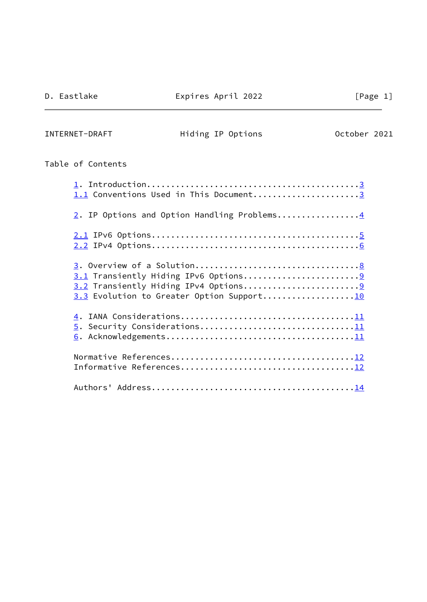$\overline{a}$ 

INTERNET-DRAFT Hiding IP Options October 2021

# Table of Contents

| 1.1 Conventions Used in This Document3      |
|---------------------------------------------|
| 2. IP Options and Option Handling Problems4 |
|                                             |
| 3.3 Evolution to Greater Option Support10   |
| 5. Security Considerations11                |
|                                             |
|                                             |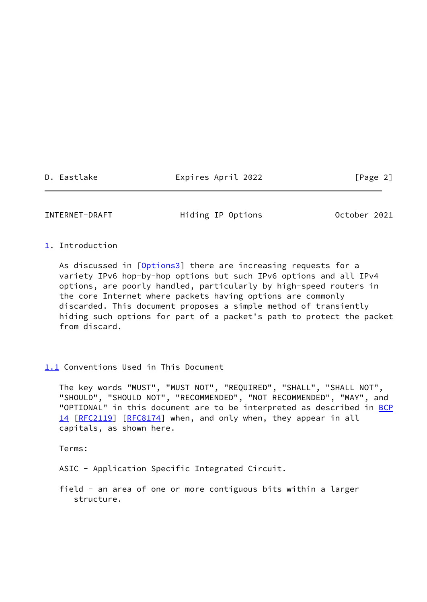D. Eastlake Expires April 2022 [Page 2]

<span id="page-2-1"></span>INTERNET-DRAFT Hiding IP Options October 2021

## <span id="page-2-0"></span>[1](#page-2-0). Introduction

As discussed in [\[Options3](#page-13-0)] there are increasing requests for a variety IPv6 hop-by-hop options but such IPv6 options and all IPv4 options, are poorly handled, particularly by high-speed routers in the core Internet where packets having options are commonly discarded. This document proposes a simple method of transiently hiding such options for part of a packet's path to protect the packet from discard.

## <span id="page-2-2"></span>[1.1](#page-2-2) Conventions Used in This Document

 The key words "MUST", "MUST NOT", "REQUIRED", "SHALL", "SHALL NOT", "SHOULD", "SHOULD NOT", "RECOMMENDED", "NOT RECOMMENDED", "MAY", and "OPTIONAL" in this document are to be interpreted as described in [BCP](https://datatracker.ietf.org/doc/pdf/bcp14) [14](https://datatracker.ietf.org/doc/pdf/bcp14) [[RFC2119\]](https://datatracker.ietf.org/doc/pdf/rfc2119) [\[RFC8174](https://datatracker.ietf.org/doc/pdf/rfc8174)] when, and only when, they appear in all capitals, as shown here.

Terms:

ASIC - Application Specific Integrated Circuit.

 field - an area of one or more contiguous bits within a larger structure.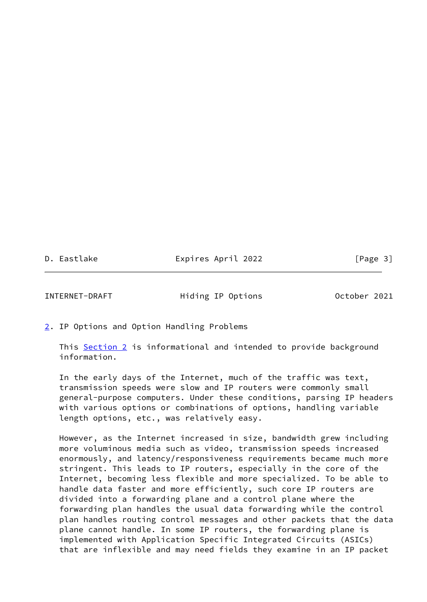D. Eastlake Expires April 2022 [Page 3]

<span id="page-3-1"></span>INTERNET-DRAFT Hiding IP Options October 2021

<span id="page-3-0"></span>[2](#page-3-0). IP Options and Option Handling Problems

 This [Section 2](#page-3-0) is informational and intended to provide background information.

 In the early days of the Internet, much of the traffic was text, transmission speeds were slow and IP routers were commonly small general-purpose computers. Under these conditions, parsing IP headers with various options or combinations of options, handling variable length options, etc., was relatively easy.

 However, as the Internet increased in size, bandwidth grew including more voluminous media such as video, transmission speeds increased enormously, and latency/responsiveness requirements became much more stringent. This leads to IP routers, especially in the core of the Internet, becoming less flexible and more specialized. To be able to handle data faster and more efficiently, such core IP routers are divided into a forwarding plane and a control plane where the forwarding plan handles the usual data forwarding while the control plan handles routing control messages and other packets that the data plane cannot handle. In some IP routers, the forwarding plane is implemented with Application Specific Integrated Circuits (ASICs) that are inflexible and may need fields they examine in an IP packet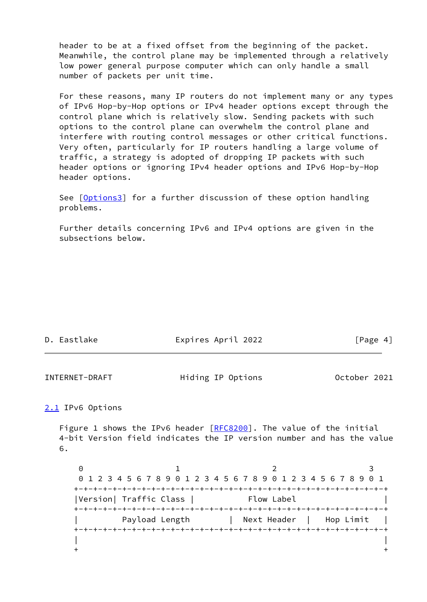header to be at a fixed offset from the beginning of the packet. Meanwhile, the control plane may be implemented through a relatively low power general purpose computer which can only handle a small number of packets per unit time.

 For these reasons, many IP routers do not implement many or any types of IPv6 Hop-by-Hop options or IPv4 header options except through the control plane which is relatively slow. Sending packets with such options to the control plane can overwhelm the control plane and interfere with routing control messages or other critical functions. Very often, particularly for IP routers handling a large volume of traffic, a strategy is adopted of dropping IP packets with such header options or ignoring IPv4 header options and IPv6 Hop-by-Hop header options.

See [\[Options3](#page-13-0)] for a further discussion of these option handling problems.

 Further details concerning IPv6 and IPv4 options are given in the subsections below.

| D. Eastlake | Expires April 2022 | [Page 4] |
|-------------|--------------------|----------|
|             |                    |          |

<span id="page-4-1"></span>INTERNET-DRAFT Hiding IP Options October 2021

## <span id="page-4-0"></span>[2.1](#page-4-0) IPv6 Options

Figure 1 shows the IPv6 header [\[RFC8200](https://datatracker.ietf.org/doc/pdf/rfc8200)]. The value of the initial 4-bit Version field indicates the IP version number and has the value 6.

0 1 2 3 0 1 2 3 4 5 6 7 8 9 0 1 2 3 4 5 6 7 8 9 0 1 2 3 4 5 6 7 8 9 0 1 +-+-+-+-+-+-+-+-+-+-+-+-+-+-+-+-+-+-+-+-+-+-+-+-+-+-+-+-+-+-+-+-+ |Version| Traffic Class | Flow Label +-+-+-+-+-+-+-+-+-+-+-+-+-+-+-+-+-+-+-+-+-+-+-+-+-+-+-+-+-+-+-+-+ | Payload Length | Next Header | Hop Limit | +-+-+-+-+-+-+-+-+-+-+-+-+-+-+-+-+-+-+-+-+-+-+-+-+-+-+-+-+-+-+-+-+ | |  $+$  +  $+$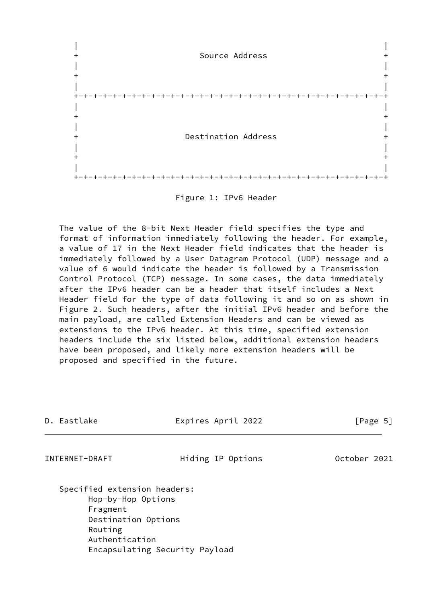



 The value of the 8-bit Next Header field specifies the type and format of information immediately following the header. For example, a value of 17 in the Next Header field indicates that the header is immediately followed by a User Datagram Protocol (UDP) message and a value of 6 would indicate the header is followed by a Transmission Control Protocol (TCP) message. In some cases, the data immediately after the IPv6 header can be a header that itself includes a Next Header field for the type of data following it and so on as shown in Figure 2. Such headers, after the initial IPv6 header and before the main payload, are called Extension Headers and can be viewed as extensions to the IPv6 header. At this time, specified extension headers include the six listed below, additional extension headers have been proposed, and likely more extension headers will be proposed and specified in the future.

<span id="page-5-0"></span>

| D. Eastlake                                                                                                        | Expires April 2022 | [Page 5]     |
|--------------------------------------------------------------------------------------------------------------------|--------------------|--------------|
| INTERNET-DRAFT                                                                                                     | Hiding IP Options  | October 2021 |
| Specified extension headers:<br>Hop-by-Hop Options<br>Fragment<br>Destination Options<br>Routing<br>Authentication |                    |              |

Encapsulating Security Payload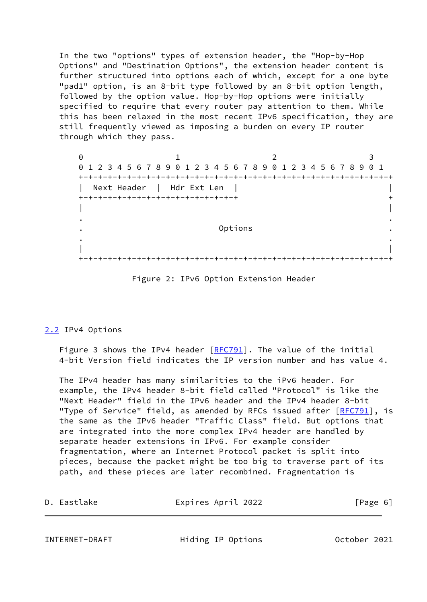In the two "options" types of extension header, the "Hop-by-Hop Options" and "Destination Options", the extension header content is further structured into options each of which, except for a one byte "pad1" option, is an 8-bit type followed by an 8-bit option length, followed by the option value. Hop-by-Hop options were initially specified to require that every router pay attention to them. While this has been relaxed in the most recent IPv6 specification, they are still frequently viewed as imposing a burden on every IP router through which they pass.

0 1 2 3 0 1 2 3 4 5 6 7 8 9 0 1 2 3 4 5 6 7 8 9 0 1 2 3 4 5 6 7 8 9 0 1 +-+-+-+-+-+-+-+-+-+-+-+-+-+-+-+-+-+-+-+-+-+-+-+-+-+-+-+-+-+-+-+-+ | Next Header | Hdr Ext Len | | +-+-+-+-+-+-+-+-+-+-+-+-+-+-+-+-+ + | | . . . Options . . . | | +-+-+-+-+-+-+-+-+-+-+-+-+-+-+-+-+-+-+-+-+-+-+-+-+-+-+-+-+-+-+-+-+

Figure 2: IPv6 Option Extension Header

## <span id="page-6-0"></span>[2.2](#page-6-0) IPv4 Options

Figure 3 shows the IPv4 header  $[REC791]$ . The value of the initial 4-bit Version field indicates the IP version number and has value 4.

 The IPv4 header has many similarities to the iPv6 header. For example, the IPv4 header 8-bit field called "Protocol" is like the "Next Header" field in the IPv6 header and the IPv4 header 8-bit "Type of Service" field, as amended by RFCs issued after [\[RFC791](https://datatracker.ietf.org/doc/pdf/rfc791)], is the same as the IPv6 header "Traffic Class" field. But options that are integrated into the more complex IPv4 header are handled by separate header extensions in IPv6. For example consider fragmentation, where an Internet Protocol packet is split into pieces, because the packet might be too big to traverse part of its path, and these pieces are later recombined. Fragmentation is

| D. Eastlake    | Expires April 2022 | [Page 6]     |  |
|----------------|--------------------|--------------|--|
|                |                    |              |  |
| INTERNET-DRAFT | Hiding IP Options  | October 2021 |  |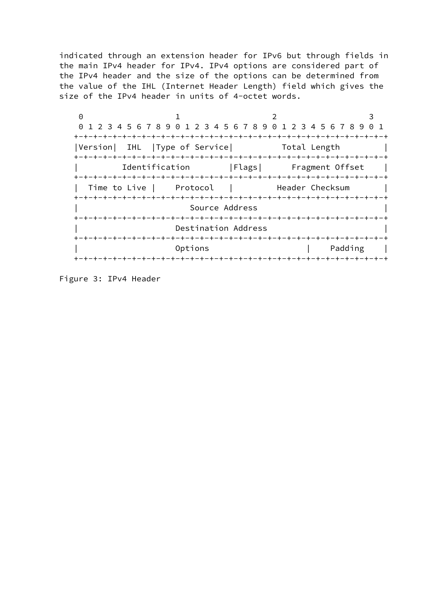indicated through an extension header for IPv6 but through fields in the main IPv4 header for IPv4. IPv4 options are considered part of the IPv4 header and the size of the options can be determined from the value of the IHL (Internet Header Length) field which gives the size of the IPv4 header in units of 4-octet words.

| ∩                                                                     |                     |                                                                  |         |          |
|-----------------------------------------------------------------------|---------------------|------------------------------------------------------------------|---------|----------|
| 1 2 3 4 5 6 7 8 9 0 1 2 3 4 5 6 7 8 9 0 1 2 3 4 5 6 7 8 9<br>$\Theta$ |                     |                                                                  |         | $\Theta$ |
|                                                                       |                     |                                                                  |         |          |
| Version  IHL  Type of Service              Total Length               |                     |                                                                  |         |          |
| Identification                                                        |                     | Flags  Fragment Offset<br>--+-+-+-+-+-+-+-+-+-+-+-+-+-+-+-+-+-+- |         |          |
| Time to Live   Protocol<br>+-+-+-+-+-+-+-+-                           | +-+-+-+-+-+         | Header Checksum<br>--+-+-+-+-+-+-+-+-+-+-+-+-+-+-+-              |         |          |
|                                                                       | Source Address      |                                                                  |         |          |
|                                                                       | Destination Address |                                                                  |         |          |
|                                                                       | Options             | -+-+-+-+-+-+-+-+                                                 | Padding |          |
|                                                                       |                     |                                                                  |         |          |

Figure 3: IPv4 Header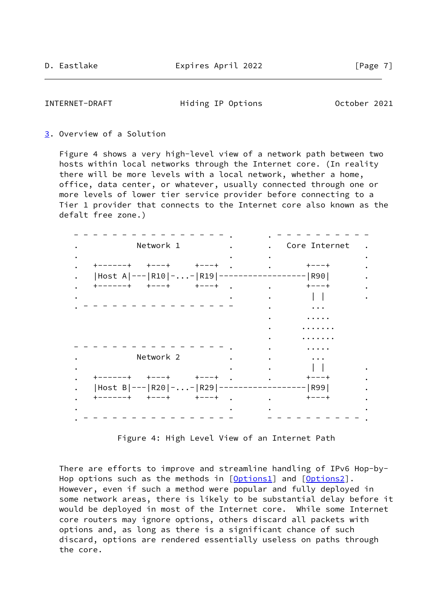<span id="page-8-1"></span>INTERNET-DRAFT Hiding IP Options October 2021

### <span id="page-8-0"></span>[3](#page-8-0). Overview of a Solution

 Figure 4 shows a very high-level view of a network path between two hosts within local networks through the Internet core. (In reality there will be more levels with a local network, whether a home, office, data center, or whatever, usually connected through one or more levels of lower tier service provider before connecting to a Tier 1 provider that connects to the Internet core also known as the defalt free zone.)

| Network 1                     |        | Core Internet                                      |
|-------------------------------|--------|----------------------------------------------------|
|                               |        |                                                    |
| +------+ +---+ +---+          |        | $+ - - - +$                                        |
| Host A --- R10 -- R19 ---     |        | ------ R90                                         |
| +------+ +---+ +---+          |        | $+ - - - +$                                        |
|                               |        |                                                    |
|                               |        | $\ddotsc$                                          |
|                               |        |                                                    |
|                               |        |                                                    |
|                               |        |                                                    |
|                               |        |                                                    |
| Network 2                     |        | $\ddot{\bullet}$ $\ddot{\bullet}$ $\ddot{\bullet}$ |
|                               |        |                                                    |
| +------+ +---+ +---+          |        | $+ - - - +$                                        |
| $ Host B --- R20 -. -R29 ---$ |        | - R99                                              |
| +------+ +---+ +---+          | $\sim$ | $+ - - - +$                                        |
|                               |        |                                                    |

Figure 4: High Level View of an Internet Path

 There are efforts to improve and streamline handling of IPv6 Hop-by- Hop options such as the methods in [[Options1\]](#page-13-1) and [[Options2\]](#page-13-2). However, even if such a method were popular and fully deployed in some network areas, there is likely to be substantial delay before it would be deployed in most of the Internet core. While some Internet core routers may ignore options, others discard all packets with options and, as long as there is a significant chance of such discard, options are rendered essentially useless on paths through the core.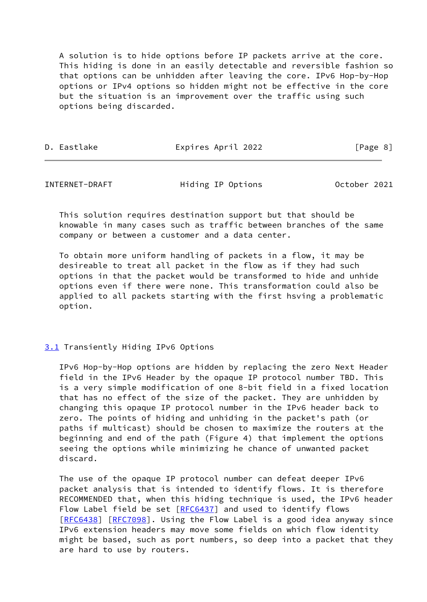A solution is to hide options before IP packets arrive at the core. This hiding is done in an easily detectable and reversible fashion so that options can be unhidden after leaving the core. IPv6 Hop-by-Hop options or IPv4 options so hidden might not be effective in the core but the situation is an improvement over the traffic using such options being discarded.

| Expires April 2022<br>D. Eastlake | [Page 8] |
|-----------------------------------|----------|
|-----------------------------------|----------|

<span id="page-9-1"></span>

| INTERNET-DRAFT | Hiding IP Options | October 2021 |
|----------------|-------------------|--------------|
|----------------|-------------------|--------------|

 This solution requires destination support but that should be knowable in many cases such as traffic between branches of the same company or between a customer and a data center.

 To obtain more uniform handling of packets in a flow, it may be desireable to treat all packet in the flow as if they had such options in that the packet would be transformed to hide and unhide options even if there were none. This transformation could also be applied to all packets starting with the first hsving a problematic option.

## <span id="page-9-0"></span>[3.1](#page-9-0) Transiently Hiding IPv6 Options

 IPv6 Hop-by-Hop options are hidden by replacing the zero Next Header field in the IPv6 Header by the opaque IP protocol number TBD. This is a very simple modification of one 8-bit field in a fixed location that has no effect of the size of the packet. They are unhidden by changing this opaque IP protocol number in the IPv6 header back to zero. The points of hiding and unhiding in the packet's path (or paths if multicast) should be chosen to maximize the routers at the beginning and end of the path (Figure 4) that implement the options seeing the options while minimizing he chance of unwanted packet discard.

 The use of the opaque IP protocol number can defeat deeper IPv6 packet analysis that is intended to identify flows. It is therefore RECOMMENDED that, when this hiding technique is used, the IPv6 header Flow Label field be set [\[RFC6437](https://datatracker.ietf.org/doc/pdf/rfc6437)] and used to identify flows [\[RFC6438](https://datatracker.ietf.org/doc/pdf/rfc6438)] [[RFC7098](https://datatracker.ietf.org/doc/pdf/rfc7098)]. Using the Flow Label is a good idea anyway since IPv6 extension headers may move some fields on which flow identity might be based, such as port numbers, so deep into a packet that they are hard to use by routers.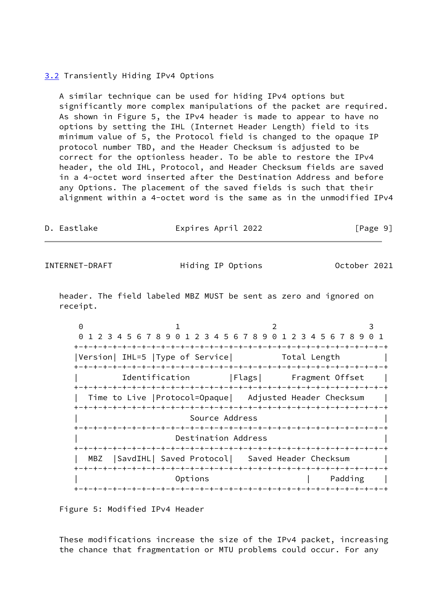## <span id="page-10-0"></span>[3.2](#page-10-0) Transiently Hiding IPv4 Options

 A similar technique can be used for hiding IPv4 options but significantly more complex manipulations of the packet are required. As shown in Figure 5, the IPv4 header is made to appear to have no options by setting the IHL (Internet Header Length) field to its minimum value of 5, the Protocol field is changed to the opaque IP protocol number TBD, and the Header Checksum is adjusted to be correct for the optionless header. To be able to restore the IPv4 header, the old IHL, Protocol, and Header Checksum fields are saved in a 4-octet word inserted after the Destination Address and before any Options. The placement of the saved fields is such that their alignment within a 4-octet word is the same as in the unmodified IPv4

D. Eastlake Expires April 2022 [Page 9]

<span id="page-10-1"></span>INTERNET-DRAFT Hiding IP Options October 2021

 header. The field labeled MBZ MUST be sent as zero and ignored on receipt.

0 1 2 3 0 1 2 3 4 5 6 7 8 9 0 1 2 3 4 5 6 7 8 9 0 1 2 3 4 5 6 7 8 9 0 1 +-+-+-+-+-+-+-+-+-+-+-+-+-+-+-+-+-+-+-+-+-+-+-+-+-+-+-+-+-+-+-+-+ |Version| IHL=5 |Type of Service| Total Length +-+-+-+-+-+-+-+-+-+-+-+-+-+-+-+-+-+-+-+-+-+-+-+-+-+-+-+-+-+-+-+-+ Identification | Flags| Fragment Offset +-+-+-+-+-+-+-+-+-+-+-+-+-+-+-+-+-+-+-+-+-+-+-+-+-+-+-+-+-+-+-+-+ | Time to Live |Protocol=Opaque| Adjusted Header Checksum | +-+-+-+-+-+-+-+-+-+-+-+-+-+-+-+-+-+-+-+-+-+-+-+-+-+-+-+-+-+-+-+-+ Source Address +-+-+-+-+-+-+-+-+-+-+-+-+-+-+-+-+-+-+-+-+-+-+-+-+-+-+-+-+-+-+-+-+ Destination Address +-+-+-+-+-+-+-+-+-+-+-+-+-+-+-+-+-+-+-+-+-+-+-+-+-+-+-+-+-+-+-+-+ MBZ | SavdIHL | Saved Protocol | Saved Header Checksum +-+-+-+-+-+-+-+-+-+-+-+-+-+-+-+-+-+-+-+-+-+-+-+-+-+-+-+-+-+-+-+-+ Options | Padding | +-+-+-+-+-+-+-+-+-+-+-+-+-+-+-+-+-+-+-+-+-+-+-+-+-+-+-+-+-+-+-+-+

Figure 5: Modified IPv4 Header

 These modifications increase the size of the IPv4 packet, increasing the chance that fragmentation or MTU problems could occur. For any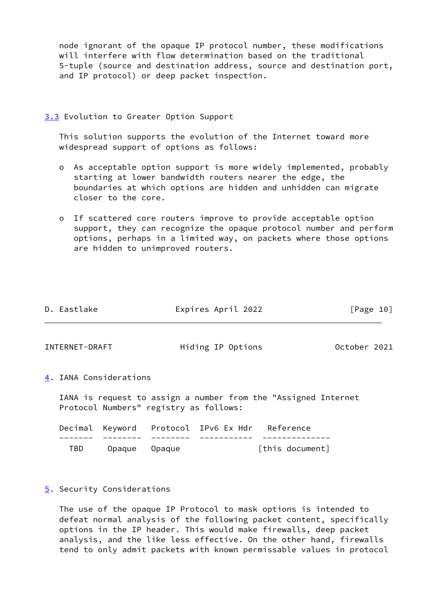node ignorant of the opaque IP protocol number, these modifications will interfere with flow determination based on the traditional 5-tuple (source and destination address, source and destination port, and IP protocol) or deep packet inspection.

## <span id="page-11-0"></span>[3.3](#page-11-0) Evolution to Greater Option Support

 This solution supports the evolution of the Internet toward more widespread support of options as follows:

- o As acceptable option support is more widely implemented, probably starting at lower bandwidth routers nearer the edge, the boundaries at which options are hidden and unhidden can migrate closer to the core.
- o If scattered core routers improve to provide acceptable option support, they can recognize the opaque protocol number and perform options, perhaps in a limited way, on packets where those options are hidden to unimproved routers.

<span id="page-11-2"></span><span id="page-11-1"></span>

| D. Eastlake    |                            |        | Expires April 2022                     |                                                                | [Page 10]    |  |
|----------------|----------------------------|--------|----------------------------------------|----------------------------------------------------------------|--------------|--|
| INTERNET-DRAFT |                            |        | Hiding IP Options                      |                                                                | October 2021 |  |
|                | 4. IANA Considerations     |        |                                        |                                                                |              |  |
|                |                            |        | Protocol Numbers" registry as follows: | IANA is request to assign a number from the "Assigned Internet |              |  |
| Decimal        |                            |        | Keyword Protocol IPv6 Ex Hdr Reference |                                                                |              |  |
| TBD            | Opaque                     | Opaque |                                        | [this document]                                                |              |  |
|                | 5. Security Considerations |        |                                        |                                                                |              |  |

<span id="page-11-3"></span> The use of the opaque IP Protocol to mask options is intended to defeat normal analysis of the following packet content, specifically options in the IP header. This would make firewalls, deep packet analysis, and the like less effective. On the other hand, firewalls tend to only admit packets with known permissable values in protocol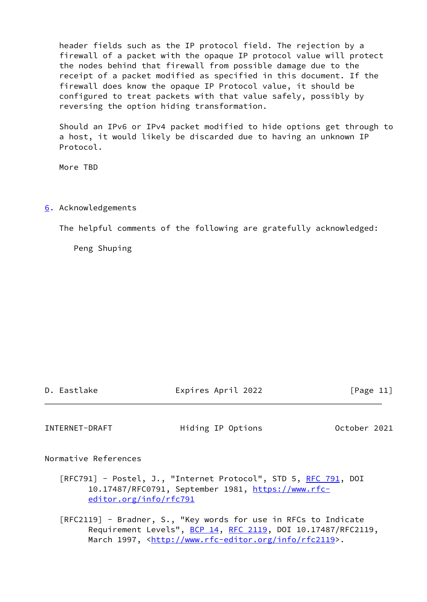header fields such as the IP protocol field. The rejection by a firewall of a packet with the opaque IP protocol value will protect the nodes behind that firewall from possible damage due to the receipt of a packet modified as specified in this document. If the firewall does know the opaque IP Protocol value, it should be configured to treat packets with that value safely, possibly by reversing the option hiding transformation.

 Should an IPv6 or IPv4 packet modified to hide options get through to a host, it would likely be discarded due to having an unknown IP Protocol.

More TBD

## <span id="page-12-0"></span>[6](#page-12-0). Acknowledgements

The helpful comments of the following are gratefully acknowledged:

Peng Shuping

| D | Eastlake |  |
|---|----------|--|

Expires April 2022 [Page 11]

<span id="page-12-1"></span>INTERNET-DRAFT Hiding IP Options October 2021

Normative References

[RFC791] - Postel, J., "Internet Protocol", STD 5, [RFC 791](https://datatracker.ietf.org/doc/pdf/rfc791), DOI 10.17487/RFC0791, September 1981, [https://www.rfc](https://www.rfc-editor.org/info/rfc791) [editor.org/info/rfc791](https://www.rfc-editor.org/info/rfc791)

 [RFC2119] - Bradner, S., "Key words for use in RFCs to Indicate Requirement Levels", [BCP 14](https://datatracker.ietf.org/doc/pdf/bcp14), [RFC 2119,](https://datatracker.ietf.org/doc/pdf/rfc2119) DOI 10.17487/RFC2119, March 1997, <<http://www.rfc-editor.org/info/rfc2119>>.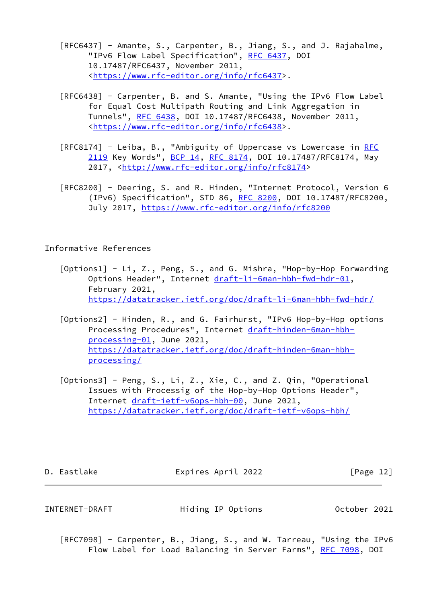- [RFC6437] Amante, S., Carpenter, B., Jiang, S., and J. Rajahalme, "IPv6 Flow Label Specification", [RFC 6437,](https://datatracker.ietf.org/doc/pdf/rfc6437) DOI 10.17487/RFC6437, November 2011, <<https://www.rfc-editor.org/info/rfc6437>>.
- [RFC6438] Carpenter, B. and S. Amante, "Using the IPv6 Flow Label for Equal Cost Multipath Routing and Link Aggregation in Tunnels", [RFC 6438](https://datatracker.ietf.org/doc/pdf/rfc6438), DOI 10.17487/RFC6438, November 2011, <<https://www.rfc-editor.org/info/rfc6438>>.
- [[RFC](https://datatracker.ietf.org/doc/pdf/rfc2119)8174] Leiba, B., "Ambiguity of Uppercase vs Lowercase in RFC [2119](https://datatracker.ietf.org/doc/pdf/rfc2119) Key Words", [BCP 14](https://datatracker.ietf.org/doc/pdf/bcp14), [RFC 8174,](https://datatracker.ietf.org/doc/pdf/rfc8174) DOI 10.17487/RFC8174, May 2017, [<http://www.rfc-editor.org/info/rfc8174](http://www.rfc-editor.org/info/rfc8174)>
- [RFC8200] Deering, S. and R. Hinden, "Internet Protocol, Version 6 (IPv6) Specification", STD 86, [RFC 8200](https://datatracker.ietf.org/doc/pdf/rfc8200), DOI 10.17487/RFC8200, July 2017,<https://www.rfc-editor.org/info/rfc8200>

Informative References

- <span id="page-13-1"></span> [Options1] - Li, Z., Peng, S., and G. Mishra, "Hop-by-Hop Forwarding Options Header", Internet [draft-li-6man-hbh-fwd-hdr-01](https://datatracker.ietf.org/doc/pdf/draft-li-6man-hbh-fwd-hdr-01), February 2021, <https://datatracker.ietf.org/doc/draft-li-6man-hbh-fwd-hdr/>
- <span id="page-13-2"></span> [Options2] - Hinden, R., and G. Fairhurst, "IPv6 Hop-by-Hop options Processing Procedures", Internet [draft-hinden-6man-hbh](https://datatracker.ietf.org/doc/pdf/draft-hinden-6man-hbh-processing-01) [processing-01,](https://datatracker.ietf.org/doc/pdf/draft-hinden-6man-hbh-processing-01) June 2021, [https://datatracker.ietf.org/doc/draft-hinden-6man-hbh](https://datatracker.ietf.org/doc/draft-hinden-6man-hbh-processing/) [processing/](https://datatracker.ietf.org/doc/draft-hinden-6man-hbh-processing/)
- <span id="page-13-0"></span> [Options3] - Peng, S., Li, Z., Xie, C., and Z. Qin, "Operational Issues with Processig of the Hop-by-Hop Options Header", Internet [draft-ietf-v6ops-hbh-00](https://datatracker.ietf.org/doc/pdf/draft-ietf-v6ops-hbh-00), June 2021, <https://datatracker.ietf.org/doc/draft-ietf-v6ops-hbh/>

D. Eastlake Expires April 2022 [Page 12]

INTERNET-DRAFT Hiding IP Options October 2021

 [RFC7098] - Carpenter, B., Jiang, S., and W. Tarreau, "Using the IPv6 Flow Label for Load Balancing in Server Farms", [RFC 7098](https://datatracker.ietf.org/doc/pdf/rfc7098), DOI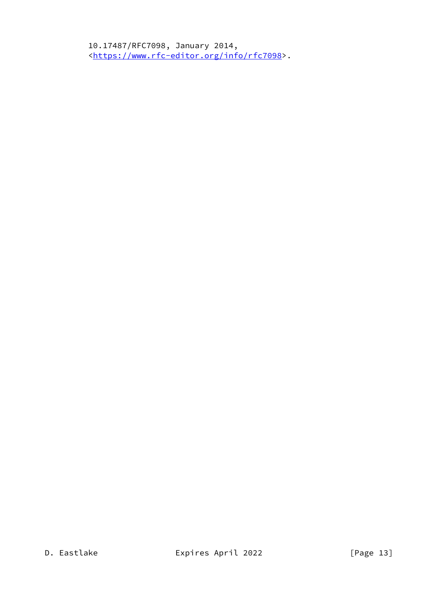10.17487/RFC7098, January 2014, <<https://www.rfc-editor.org/info/rfc7098>>.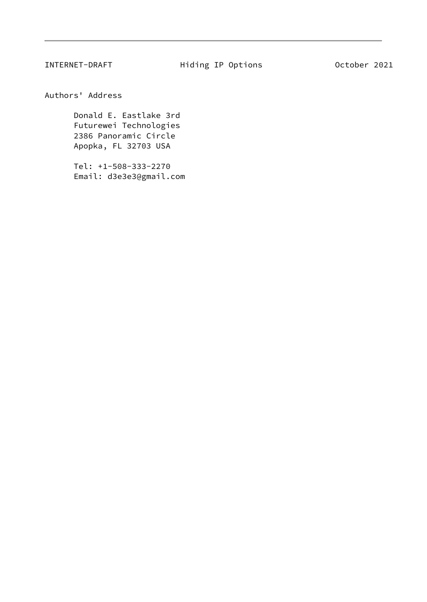<span id="page-15-0"></span>Authors' Address

 Donald E. Eastlake 3rd Futurewei Technologies 2386 Panoramic Circle Apopka, FL 32703 USA

 Tel: +1-508-333-2270 Email: d3e3e3@gmail.com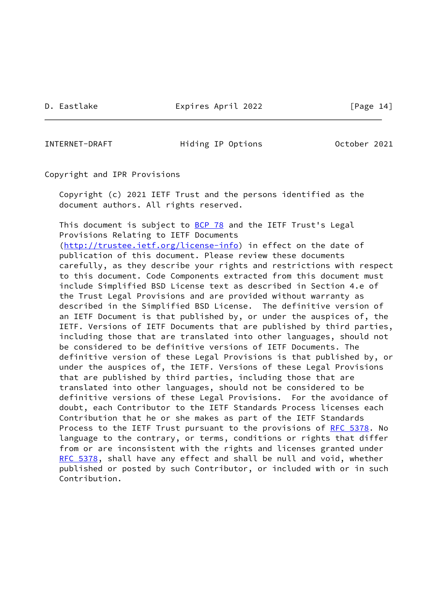D. Eastlake Expires April 2022 [Page 14]

INTERNET-DRAFT Hiding IP Options October 2021

Copyright and IPR Provisions

 Copyright (c) 2021 IETF Trust and the persons identified as the document authors. All rights reserved.

This document is subject to **[BCP 78](https://datatracker.ietf.org/doc/pdf/bcp78)** and the IETF Trust's Legal Provisions Relating to IETF Documents

 [\(http://trustee.ietf.org/license-info](http://trustee.ietf.org/license-info)) in effect on the date of publication of this document. Please review these documents carefully, as they describe your rights and restrictions with respect to this document. Code Components extracted from this document must include Simplified BSD License text as described in Section 4.e of the Trust Legal Provisions and are provided without warranty as described in the Simplified BSD License. The definitive version of an IETF Document is that published by, or under the auspices of, the IETF. Versions of IETF Documents that are published by third parties, including those that are translated into other languages, should not be considered to be definitive versions of IETF Documents. The definitive version of these Legal Provisions is that published by, or under the auspices of, the IETF. Versions of these Legal Provisions that are published by third parties, including those that are translated into other languages, should not be considered to be definitive versions of these Legal Provisions. For the avoidance of doubt, each Contributor to the IETF Standards Process licenses each Contribution that he or she makes as part of the IETF Standards Process to the IETF Trust pursuant to the provisions of [RFC 5378](https://datatracker.ietf.org/doc/pdf/rfc5378). No language to the contrary, or terms, conditions or rights that differ from or are inconsistent with the rights and licenses granted under [RFC 5378](https://datatracker.ietf.org/doc/pdf/rfc5378), shall have any effect and shall be null and void, whether published or posted by such Contributor, or included with or in such Contribution.